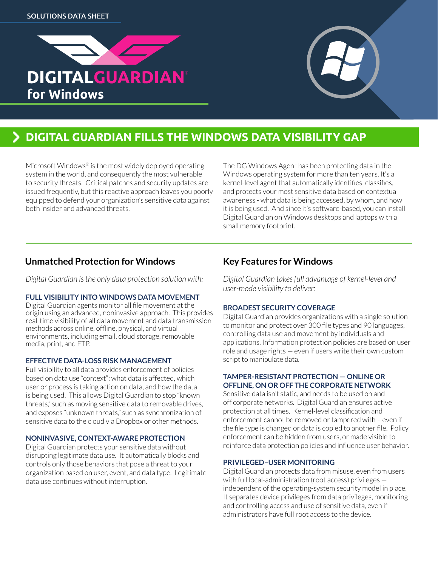



# **DIGITAL GUARDIAN FILLS THE WINDOWS DATA VISIBILITY GAP**

Microsoft Windows<sup>®</sup> is the most widely deployed operating system in the world, and consequently the most vulnerable to security threats. Critical patches and security updates are issued frequently, but this reactive approach leaves you poorly equipped to defend your organization's sensitive data against both insider and advanced threats.

The DG Windows Agent has been protecting data in the Windows operating system for more than ten years. It's a kernel-level agent that automatically identifies, classifies, and protects your most sensitive data based on contextual awareness - what data is being accessed, by whom, and how it is being used. And since it's software-based, you can install Digital Guardian on Windows desktops and laptops with a small memory footprint.

# **Unmatched Protection for Windows**

*Digital Guardian is the only data protection solution with:* 

# **FULL VISIBILITY INTO WINDOWS DATA MOVEMENT**

Digital Guardian agents monitor all file movement at the origin using an advanced, noninvasive approach. This provides real-time visibility of all data movement and data transmission methods across online, offline, physical, and virtual environments, including email, cloud storage, removable media, print, and FTP.

### **EFFECTIVE DATA-LOSS RISK MANAGEMENT**

Full visibility to all data provides enforcement of policies based on data use "context"; what data is affected, which user or process is taking action on data, and how the data is being used. This allows Digital Guardian to stop "known threats," such as moving sensitive data to removable drives, and exposes "unknown threats," such as synchronization of sensitive data to the cloud via Dropbox or other methods.

# **NONINVASIVE, CONTEXT-AWARE PROTECTION**

Digital Guardian protects your sensitive data without disrupting legitimate data use. It automatically blocks and controls only those behaviors that pose a threat to your organization based on user, event, and data type. Legitimate data use continues without interruption.

# **Key Features for Windows**

*Digital Guardian takes full advantage of kernel-level and user-mode visibility to deliver:*

# **BROADEST SECURITY COVERAGE**

Digital Guardian provides organizations with a single solution to monitor and protect over 300 file types and 90 languages, controlling data use and movement by individuals and applications. Information protection policies are based on user role and usage rights — even if users write their own custom script to manipulate data.

#### **TAMPER-RESISTANT PROTECTION — ONLINE OR OFFLINE, ON OR OFF THE CORPORATE NETWORK**

Sensitive data isn't static, and needs to be used on and off corporate networks. Digital Guardian ensures active protection at all times. Kernel-level classification and enforcement cannot be removed or tampered with – even if the file type is changed or data is copied to another file. Policy enforcement can be hidden from users, or made visible to reinforce data protection policies and influence user behavior.

# **PRIVILEGED–USER MONITORING**

Digital Guardian protects data from misuse, even from users with full local-administration (root access) privileges independent of the operating-system security model in place. It separates device privileges from data privileges, monitoring and controlling access and use of sensitive data, even if administrators have full root access to the device.